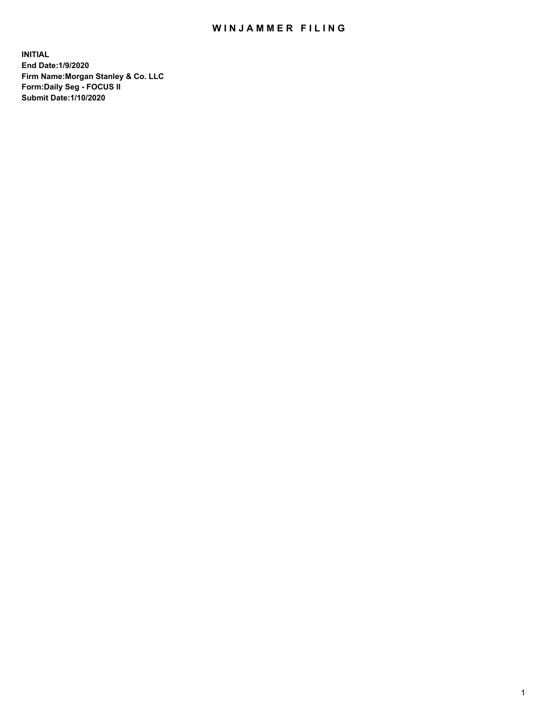## WIN JAMMER FILING

**INITIAL End Date:1/9/2020 Firm Name:Morgan Stanley & Co. LLC Form:Daily Seg - FOCUS II Submit Date:1/10/2020**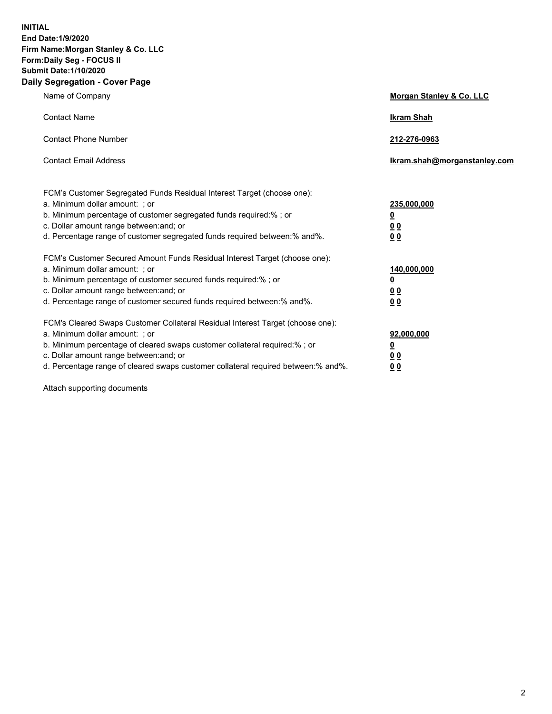**INITIAL End Date:1/9/2020 Firm Name:Morgan Stanley & Co. LLC Form:Daily Seg - FOCUS II Submit Date:1/10/2020 Daily Segregation - Cover Page**

| Name of Company                                                                                                                                                                                                                                                                                                                | Morgan Stanley & Co. LLC                   |
|--------------------------------------------------------------------------------------------------------------------------------------------------------------------------------------------------------------------------------------------------------------------------------------------------------------------------------|--------------------------------------------|
| <b>Contact Name</b>                                                                                                                                                                                                                                                                                                            | <b>Ikram Shah</b>                          |
| <b>Contact Phone Number</b>                                                                                                                                                                                                                                                                                                    | 212-276-0963                               |
| <b>Contact Email Address</b>                                                                                                                                                                                                                                                                                                   | Ikram.shah@morganstanley.com               |
| FCM's Customer Segregated Funds Residual Interest Target (choose one):<br>a. Minimum dollar amount: ; or<br>b. Minimum percentage of customer segregated funds required:%; or<br>c. Dollar amount range between: and; or<br>d. Percentage range of customer segregated funds required between:% and%.                          | 235,000,000<br><u>0</u><br><u>00</u><br>00 |
| FCM's Customer Secured Amount Funds Residual Interest Target (choose one):<br>a. Minimum dollar amount: ; or<br>b. Minimum percentage of customer secured funds required:%; or<br>c. Dollar amount range between: and; or<br>d. Percentage range of customer secured funds required between:% and%.                            | 140,000,000<br><u>0</u><br><u>00</u><br>00 |
| FCM's Cleared Swaps Customer Collateral Residual Interest Target (choose one):<br>a. Minimum dollar amount: ; or<br>b. Minimum percentage of cleared swaps customer collateral required:% ; or<br>c. Dollar amount range between: and; or<br>d. Percentage range of cleared swaps customer collateral required between:% and%. | 92,000,000<br><u>0</u><br><u>00</u><br>0 Q |

Attach supporting documents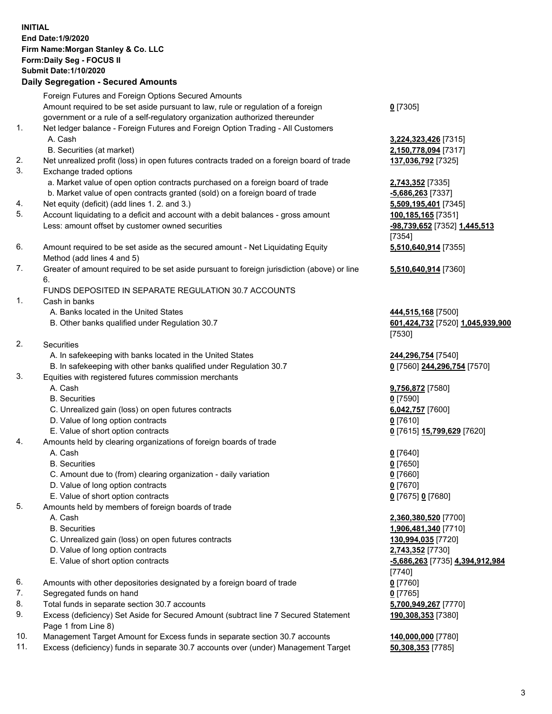## **INITIAL End Date:1/9/2020 Firm Name:Morgan Stanley & Co. LLC Form:Daily Seg - FOCUS II Submit Date:1/10/2020 Daily Segregation - Secured Amounts** Foreign Futures and Foreign Options Secured Amounts Amount required to be set aside pursuant to law, rule or regulation of a foreign

- government or a rule of a self-regulatory organization authorized thereunder 1. Net ledger balance - Foreign Futures and Foreign Option Trading - All Customers A. Cash **3,224,323,426** [7315] B. Securities (at market) **2,150,778,094** [7317] 2. Net unrealized profit (loss) in open futures contracts traded on a foreign board of trade **137,036,792** [7325] 3. Exchange traded options a. Market value of open option contracts purchased on a foreign board of trade **2,743,352** [7335] b. Market value of open contracts granted (sold) on a foreign board of trade **-5,686,263** [7337] 4. Net equity (deficit) (add lines 1. 2. and 3.) **5,509,195,401** [7345] 5. Account liquidating to a deficit and account with a debit balances - gross amount **100,185,165** [7351] Less: amount offset by customer owned securities **-98,739,652** [7352] **1,445,513** 6. Amount required to be set aside as the secured amount - Net Liquidating Equity Method (add lines 4 and 5) 7. Greater of amount required to be set aside pursuant to foreign jurisdiction (above) or line 6. FUNDS DEPOSITED IN SEPARATE REGULATION 30.7 ACCOUNTS 1. Cash in banks A. Banks located in the United States **444,515,168** [7500] B. Other banks qualified under Regulation 30.7 **601,424,732** [7520] **1,045,939,900** 2. Securities A. In safekeeping with banks located in the United States **244,296,754** [7540] B. In safekeeping with other banks qualified under Regulation 30.7 **0** [7560] **244,296,754** [7570] 3. Equities with registered futures commission merchants A. Cash **9,756,872** [7580] B. Securities **0** [7590] C. Unrealized gain (loss) on open futures contracts **6,042,757** [7600] D. Value of long option contracts **0** [7610] E. Value of short option contracts **0** [7615] **15,799,629** [7620] 4. Amounts held by clearing organizations of foreign boards of trade A. Cash **0** [7640] B. Securities **0** [7650] C. Amount due to (from) clearing organization - daily variation **0** [7660] D. Value of long option contracts **0** [7670] E. Value of short option contracts **0** [7675] **0** [7680] 5. Amounts held by members of foreign boards of trade A. Cash **2,360,380,520** [7700] B. Securities **1,906,481,340** [7710] C. Unrealized gain (loss) on open futures contracts **130,994,035** [7720] D. Value of long option contracts **2,743,352** [7730] E. Value of short option contracts **-5,686,263** [7735] **4,394,912,984**
- 6. Amounts with other depositories designated by a foreign board of trade **0** [7760]
- 7. Segregated funds on hand **0** [7765]
- 8. Total funds in separate section 30.7 accounts **5,700,949,267** [7770]
- 9. Excess (deficiency) Set Aside for Secured Amount (subtract line 7 Secured Statement Page 1 from Line 8)
- 10. Management Target Amount for Excess funds in separate section 30.7 accounts **140,000,000** [7780]
- 11. Excess (deficiency) funds in separate 30.7 accounts over (under) Management Target **50,308,353** [7785]

**0** [7305]

[7354] **5,510,640,914** [7355]

**5,510,640,914** [7360]

[7530]

[7740] **190,308,353** [7380]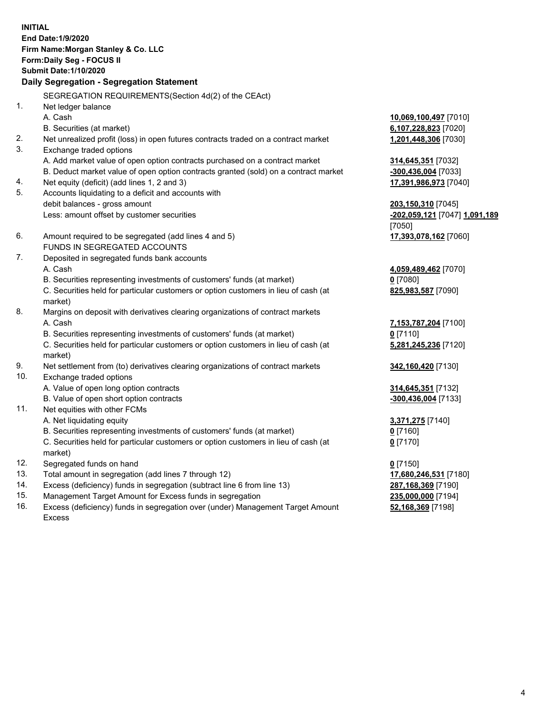**INITIAL End Date:1/9/2020 Firm Name:Morgan Stanley & Co. LLC Form:Daily Seg - FOCUS II Submit Date:1/10/2020 Daily Segregation - Segregation Statement** SEGREGATION REQUIREMENTS(Section 4d(2) of the CEAct) 1. Net ledger balance A. Cash **10,069,100,497** [7010] B. Securities (at market) **6,107,228,823** [7020] 2. Net unrealized profit (loss) in open futures contracts traded on a contract market **1,201,448,306** [7030] 3. Exchange traded options A. Add market value of open option contracts purchased on a contract market **314,645,351** [7032] B. Deduct market value of open option contracts granted (sold) on a contract market **-300,436,004** [7033] 4. Net equity (deficit) (add lines 1, 2 and 3) **17,391,986,973** [7040] 5. Accounts liquidating to a deficit and accounts with debit balances - gross amount **203,150,310** [7045] Less: amount offset by customer securities **-202,059,121** [7047] **1,091,189** [7050] 6. Amount required to be segregated (add lines 4 and 5) **17,393,078,162** [7060] FUNDS IN SEGREGATED ACCOUNTS 7. Deposited in segregated funds bank accounts A. Cash **4,059,489,462** [7070] B. Securities representing investments of customers' funds (at market) **0** [7080] C. Securities held for particular customers or option customers in lieu of cash (at market) **825,983,587** [7090] 8. Margins on deposit with derivatives clearing organizations of contract markets A. Cash **7,153,787,204** [7100] B. Securities representing investments of customers' funds (at market) **0** [7110] C. Securities held for particular customers or option customers in lieu of cash (at market) **5,281,245,236** [7120] 9. Net settlement from (to) derivatives clearing organizations of contract markets **342,160,420** [7130] 10. Exchange traded options A. Value of open long option contracts **314,645,351** [7132] B. Value of open short option contracts **-300,436,004** [7133] 11. Net equities with other FCMs A. Net liquidating equity **3,371,275** [7140] B. Securities representing investments of customers' funds (at market) **0** [7160] C. Securities held for particular customers or option customers in lieu of cash (at market) **0** [7170] 12. Segregated funds on hand **0** [7150] 13. Total amount in segregation (add lines 7 through 12) **17,680,246,531** [7180] 14. Excess (deficiency) funds in segregation (subtract line 6 from line 13) **287,168,369** [7190]

- 15. Management Target Amount for Excess funds in segregation **235,000,000** [7194]
- 16. Excess (deficiency) funds in segregation over (under) Management Target Amount Excess

**52,168,369** [7198]